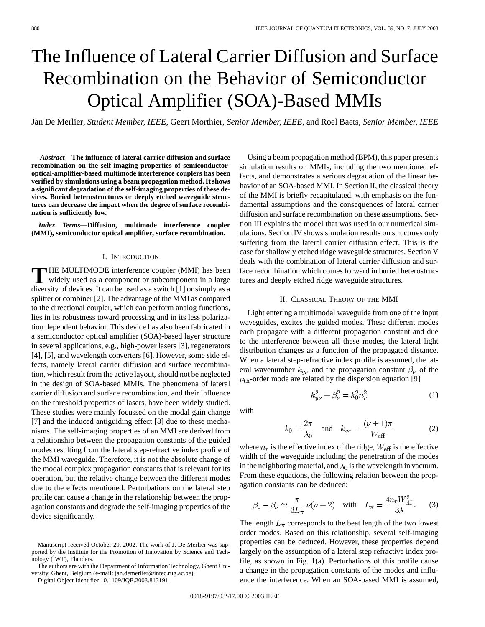# The Influence of Lateral Carrier Diffusion and Surface Recombination on the Behavior of Semiconductor Optical Amplifier (SOA)-Based MMIs

Jan De Merlier*, Student Member, IEEE*, Geert Morthier*, Senior Member, IEEE*, and Roel Baets*, Senior Member, IEEE*

*Abstract—***The influence of lateral carrier diffusion and surface recombination on the self-imaging properties of semiconductoroptical-amplifier-based multimode interference couplers has been verified by simulations using a beam propagation method. It shows a significant degradation of the self-imaging properties of these devices. Buried heterostructures or deeply etched waveguide structures can decrease the impact when the degree of surface recombination is sufficiently low.**

*Index Terms—***Diffusion, multimode interference coupler (MMI), semiconductor optical amplifier, surface recombination.**

## I. INTRODUCTION

**T** HE MULTIMODE interference coupler (MMI) has been widely used as a component or subcomponent in a large diversity of devices. It can be used as a switch [1] or simply as a splitter or combiner [2]. The advantage of the MMI as compared to the directional coupler, which can perform analog functions, lies in its robustness toward processing and in its less polarization dependent behavior. This device has also been fabricated in a semiconductor optical amplifier (SOA)-based layer structure in several applications, e.g., high-power lasers [3], regenerators [4], [5], and wavelength converters [6]. However, some side effects, namely lateral carrier diffusion and surface recombination, which result from the active layout, should not be neglected in the design of SOA-based MMIs. The phenomena of lateral carrier diffusion and surface recombination, and their influence on the threshold properties of lasers, have been widely studied. These studies were mainly focussed on the modal gain change [7] and the induced antiguiding effect [8] due to these mechanisms. The self-imaging properties of an MMI are derived from a relationship between the propagation constants of the guided modes resulting from the lateral step-refractive index profile of the MMI waveguide. Therefore, it is not the absolute change of the modal complex propagation constants that is relevant for its operation, but the relative change between the different modes due to the effects mentioned. Perturbations on the lateral step profile can cause a change in the relationship between the propagation constants and degrade the self-imaging properties of the device significantly.

Digital Object Identifier 10.1109/JQE.2003.813191

Using a beam propagation method (BPM), this paper presents simulation results on MMIs, including the two mentioned effects, and demonstrates a serious degradation of the linear behavior of an SOA-based MMI. In Section II, the classical theory of the MMI is briefly recapitulated, with emphasis on the fundamental assumptions and the consequences of lateral carrier diffusion and surface recombination on these assumptions. Section III explains the model that was used in our numerical simulations. Section IV shows simulation results on structures only suffering from the lateral carrier diffusion effect. This is the case for shallowly etched ridge waveguide structures. Section V deals with the combination of lateral carrier diffusion and surface recombination which comes forward in buried heterostructures and deeply etched ridge waveguide structures.

## II. CLASSICAL THEORY OF THE MMI

Light entering a multimodal waveguide from one of the input waveguides, excites the guided modes. These different modes each propagate with a different propagation constant and due to the interference between all these modes, the lateral light distribution changes as a function of the propagated distance. When a lateral step-refractive index profile is assumed, the lateral wavenumber  $k_{y\nu}$  and the propagation constant  $\beta_{\nu}$  of the  $\nu_{\text{th}}$ -order mode are related by the dispersion equation [9]

 $k_{uv}^2 + \beta_v^2 = k_0^2 n_r^2$ 

with

$$
k_0 = \frac{2\pi}{\lambda_0} \quad \text{and} \quad k_{y\nu} = \frac{(\nu + 1)\pi}{W_{\text{eff}}} \tag{2}
$$

(1)

where  $n_r$  is the effective index of the ridge,  $W_{\text{eff}}$  is the effective width of the waveguide including the penetration of the modes in the neighboring material, and  $\lambda_0$  is the wavelength in vacuum. From these equations, the following relation between the propagation constants can be deduced:

$$
\beta_0 - \beta_\nu \simeq \frac{\pi}{3L_\pi} \nu(\nu + 2) \quad \text{with} \quad L_\pi = \frac{4n_r W_{\text{eff}}^2}{3\lambda}.
$$
 (3)

The length  $L_{\pi}$  corresponds to the beat length of the two lowest order modes. Based on this relationship, several self-imaging properties can be deduced. However, these properties depend largely on the assumption of a lateral step refractive index profile, as shown in Fig. 1(a). Perturbations of this profile cause a change in the propagation constants of the modes and influence the interference. When an SOA-based MMI is assumed,

Manuscript received October 29, 2002. The work of J. De Merlier was supported by the Institute for the Promotion of Innovation by Science and Technology (IWT), Flanders.

The authors are with the Department of Information Technology, Ghent University, Ghent, Belgium (e-mail: jan.demerlier@intec.rug.ac.be).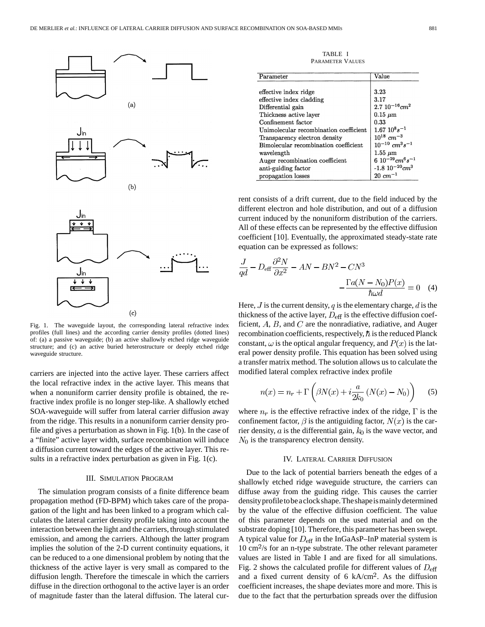

Fig. 1. The waveguide layout, the corresponding lateral refractive index profiles (full lines) and the according carrier density profiles (dotted lines) of: (a) a passive waveguide; (b) an active shallowly etched ridge waveguide structure; and (c) an active buried heterostructure or deeply etched ridge waveguide structure.

carriers are injected into the active layer. These carriers affect the local refractive index in the active layer. This means that when a nonuniform carrier density profile is obtained, the refractive index profile is no longer step-like. A shallowly etched SOA-waveguide will suffer from lateral carrier diffusion away from the ridge. This results in a nonuniform carrier density profile and gives a perturbation as shown in Fig. 1(b). In the case of a "finite" active layer width, surface recombination will induce a diffusion current toward the edges of the active layer. This results in a refractive index perturbation as given in Fig. 1(c).

## III. SIMULATION PROGRAM

The simulation program consists of a finite difference beam propagation method (FD-BPM) which takes care of the propagation of the light and has been linked to a program which calculates the lateral carrier density profile taking into account the interaction between the light and the carriers, through stimulated emission, and among the carriers. Although the latter program implies the solution of the 2-D current continuity equations, it can be reduced to a one dimensional problem by noting that the thickness of the active layer is very small as compared to the diffusion length. Therefore the timescale in which the carriers diffuse in the direction orthogonal to the active layer is an order of magnitude faster than the lateral diffusion. The lateral cur-

TABLE I PARAMETER VALUES

| Parameter                              | Value                                        |
|----------------------------------------|----------------------------------------------|
|                                        |                                              |
| effective index ridge                  | 3.23                                         |
| effective index cladding               | 3.17                                         |
| Differential gain                      | $2.7~10^{-16}$ cm <sup>2</sup>               |
| Thickness active layer                 | $0.15 \mu m$                                 |
| Confinement factor                     | 0.33                                         |
| Unimolecular recombination coefficient | $1.67~10^{8}s^{-1}$                          |
| Transparency electron density          | $10^{18}$ cm <sup>-3</sup>                   |
| Bimolecular recombination coefficient  | $10^{-10}$ $cm^3s^{-1}$                      |
| wavelength                             | $1.55 \ \mu m$                               |
| Auger recombination coefficient        | 6 $10^{-29}$ cm <sup>6</sup> s <sup>-1</sup> |
| anti-guiding factor                    | -1.8 $10^{-20} cm^{3}$                       |
| propagation losses                     | $20 \, cm^{-1}$                              |

rent consists of a drift current, due to the field induced by the different electron and hole distribution, and out of a diffusion current induced by the nonuniform distribution of the carriers. All of these effects can be represented by the effective diffusion coefficient [10]. Eventually, the approximated steady-state rate equation can be expressed as follows:

$$
\frac{J}{qd} - D_{\text{eff}} \frac{\partial^2 N}{\partial x^2} - AN - BN^2 - CN^3
$$

$$
-\frac{\Gamma a (N - N_0) P(x)}{\hbar \omega d} = 0 \quad (4)
$$

Here,  $J$  is the current density,  $q$  is the elementary charge,  $d$  is the thickness of the active layer,  $D_{\text{eff}}$  is the effective diffusion coefficient,  $A$ ,  $B$ , and  $C$  are the nonradiative, radiative, and Auger recombination coefficients, respectively,  $\hbar$  is the reduced Planck constant,  $\omega$  is the optical angular frequency, and  $P(x)$  is the lateral power density profile. This equation has been solved using a transfer matrix method. The solution allows us to calculate the modified lateral complex refractive index profile

$$
n(x) = n_r + \Gamma\left(\beta N(x) + i\frac{a}{2k_0}(N(x) - N_0)\right) \tag{5}
$$

where  $n_r$  is the effective refractive index of the ridge,  $\Gamma$  is the confinement factor,  $\beta$  is the antiguiding factor,  $N(x)$  is the carrier density,  $a$  is the differential gain,  $k_0$  is the wave vector, and  $N_0$  is the transparency electron density.

#### IV. LATERAL CARRIER DIFFUSION

Due to the lack of potential barriers beneath the edges of a shallowly etched ridge waveguide structure, the carriers can diffuse away from the guiding ridge. This causes the carrier density profile to be a clock shape. The shape is mainly determined by the value of the effective diffusion coefficient. The value of this parameter depends on the used material and on the substrate doping [10]. Therefore, this parameter has been swept. A typical value for  $D_{\text{eff}}$  in the InGaAsP–InP material system is  $10 \text{ cm}^2/\text{s}$  for an n-type substrate. The other relevant parameter values are listed in Table I and are fixed for all simulations. Fig. 2 shows the calculated profile for different values of  $D_{\text{eff}}$ and a fixed current density of  $6 \text{ kA/cm}^2$ . As the diffusion coefficient increases, the shape deviates more and more. This is due to the fact that the perturbation spreads over the diffusion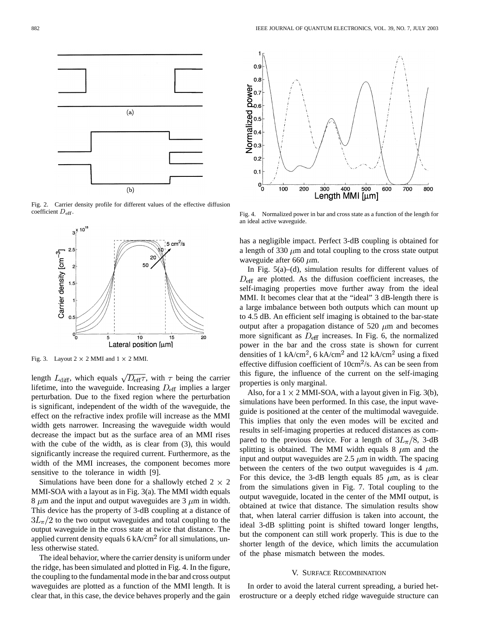

Fig. 2. Carrier density profile for different values of the effective diffusion coefficient  $D_{\rm eff}$ .



Fig. 3. Layout  $2 \times 2$  MMI and  $1 \times 2$  MMI.

length  $L_{\text{diff}}$ , which equals  $\sqrt{D_{\text{eff}}\tau}$ , with  $\tau$  being the carrier lifetime, into the waveguide. Increasing  $D_{\text{eff}}$  implies a larger perturbation. Due to the fixed region where the perturbation is significant, independent of the width of the waveguide, the effect on the refractive index profile will increase as the MMI width gets narrower. Increasing the waveguide width would decrease the impact but as the surface area of an MMI rises with the cube of the width, as is clear from (3), this would significantly increase the required current. Furthermore, as the width of the MMI increases, the component becomes more sensitive to the tolerance in width [9].

Simulations have been done for a shallowly etched  $2 \times 2$ MMI-SOA with a layout as in Fig. 3(a). The MMI width equals 8  $\mu$ m and the input and output waveguides are 3  $\mu$ m in width. This device has the property of 3-dB coupling at a distance of  $3L_{\pi}/2$  to the two output waveguides and total coupling to the output waveguide in the cross state at twice that distance. The applied current density equals  $6 \text{ kA/cm}^2$  for all simulations, unless otherwise stated.

The ideal behavior, where the carrier density is uniform under the ridge, has been simulated and plotted in Fig. 4. In the figure, the coupling to the fundamental mode in the bar and cross output waveguides are plotted as a function of the MMI length. It is clear that, in this case, the device behaves properly and the gain



Fig. 4. Normalized power in bar and cross state as a function of the length for an ideal active waveguide.

has a negligible impact. Perfect 3-dB coupling is obtained for a length of 330  $\mu$ m and total coupling to the cross state output waveguide after 660  $\mu$ m.

In Fig. 5(a)–(d), simulation results for different values of  $D_{\text{eff}}$  are plotted. As the diffusion coefficient increases, the self-imaging properties move further away from the ideal MMI. It becomes clear that at the "ideal" 3 dB-length there is a large imbalance between both outputs which can mount up to 4.5 dB. An efficient self imaging is obtained to the bar-state output after a propagation distance of 520  $\mu$ m and becomes more significant as  $D_{\text{eff}}$  increases. In Fig. 6, the normalized power in the bar and the cross state is shown for current densities of 1 kA/cm<sup>2</sup>, 6 kA/cm<sup>2</sup> and 12 kA/cm<sup>2</sup> using a fixed effective diffusion coefficient of  $10 \text{cm}^2/\text{s}$ . As can be seen from this figure, the influence of the current on the self-imaging properties is only marginal.

Also, for a  $1 \times 2$  MMI-SOA, with a layout given in Fig. 3(b), simulations have been performed. In this case, the input waveguide is positioned at the center of the multimodal waveguide. This implies that only the even modes will be excited and results in self-imaging properties at reduced distances as compared to the previous device. For a length of  $3L_{\pi}/8$ , 3-dB splitting is obtained. The MMI width equals 8  $\mu$ m and the input and output waveguides are  $2.5 \mu m$  in width. The spacing between the centers of the two output waveguides is 4  $\mu$ m. For this device, the 3-dB length equals 85  $\mu$ m, as is clear from the simulations given in Fig. 7. Total coupling to the output waveguide, located in the center of the MMI output, is obtained at twice that distance. The simulation results show that, when lateral carrier diffusion is taken into account, the ideal 3-dB splitting point is shifted toward longer lengths, but the component can still work properly. This is due to the shorter length of the device, which limits the accumulation of the phase mismatch between the modes.

#### V. SURFACE RECOMBINATION

In order to avoid the lateral current spreading, a buried heterostructure or a deeply etched ridge waveguide structure can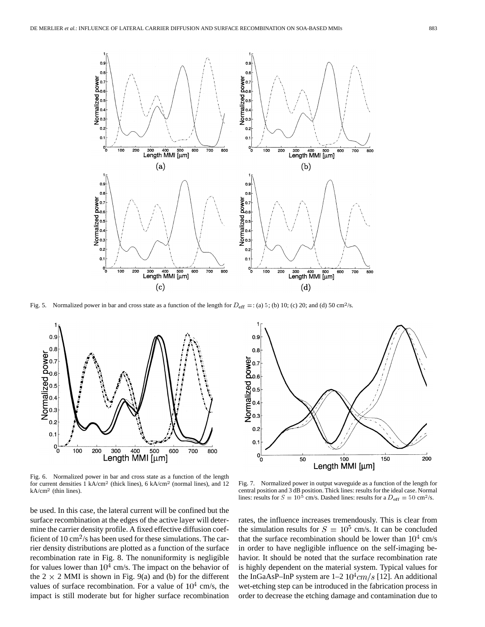

Fig. 5. Normalized power in bar and cross state as a function of the length for  $D_{\text{eff}} =$ : (a) 5; (b) 10; (c) 20; and (d) 50 cm<sup>2</sup>/s.



Fig. 6. Normalized power in bar and cross state as a function of the length for current densities  $1 \text{ kA/cm}^2$  (thick lines), 6 kA/cm<sup>2</sup> (normal lines), and 12  $kA/cm<sup>2</sup>$  (thin lines).

be used. In this case, the lateral current will be confined but the surface recombination at the edges of the active layer will determine the carrier density profile. A fixed effective diffusion coefficient of 10 cm<sup>2</sup>/s has been used for these simulations. The carrier density distributions are plotted as a function of the surface recombination rate in Fig. 8. The nonuniformity is negligible for values lower than  $10^4$  cm/s. The impact on the behavior of the  $2 \times 2$  MMI is shown in Fig. 9(a) and (b) for the different values of surface recombination. For a value of  $10^4$  cm/s, the impact is still moderate but for higher surface recombination



Fig. 7. Normalized power in output waveguide as a function of the length for central position and 3 dB position. Thick lines: results for the ideal case. Normal lines: results for  $S = 10^5$  cm/s. Dashed lines: results for a  $D_{\text{eff}} = 50 \text{ cm}^2/\text{s}$ .

rates, the influence increases tremendously. This is clear from the simulation results for  $S = 10^5$  cm/s. It can be concluded that the surface recombination should be lower than  $10^4$  cm/s in order to have negligible influence on the self-imaging behavior. It should be noted that the surface recombination rate is highly dependent on the material system. Typical values for the InGaAsP–InP system are  $1-2 \frac{10^4 \text{cm}}{s}$  [12]. An additional wet-etching step can be introduced in the fabrication process in order to decrease the etching damage and contamination due to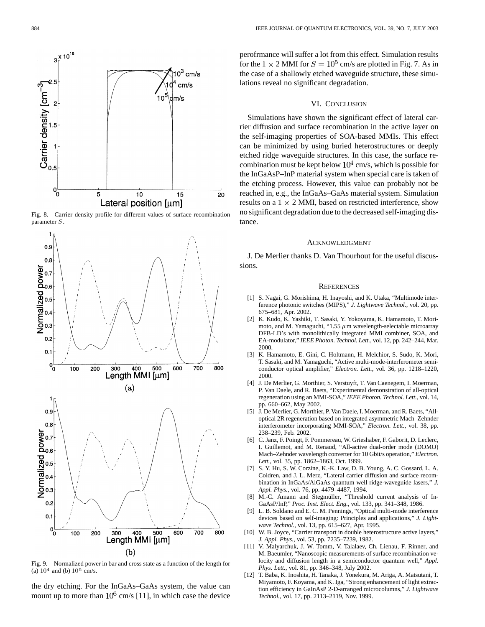

Fig. 8. Carrier density profile for different values of surface recombination parameter S.



Fig. 9. Normalized power in bar and cross state as a function of the length for (a)  $10^4$  and (b)  $10^5$  cm/s.

the dry etching. For the InGaAs–GaAs system, the value can mount up to more than  $10^6$  cm/s [11], in which case the device perofrmance will suffer a lot from this effect. Simulation results for the  $1 \times 2$  MMI for  $S = 10^5$  cm/s are plotted in Fig. 7. As in the case of a shallowly etched waveguide structure, these simulations reveal no significant degradation.

## VI. CONCLUSION

Simulations have shown the significant effect of lateral carrier diffusion and surface recombination in the active layer on the self-imaging properties of SOA-based MMIs. This effect can be minimized by using buried heterostructures or deeply etched ridge waveguide structures. In this case, the surface recombination must be kept below  $10^4$  cm/s, which is possible for the InGaAsP–InP material system when special care is taken of the etching process. However, this value can probably not be reached in, e.g., the InGaAs–GaAs material system. Simulation results on a  $1 \times 2$  MMI, based on restricted interference, show no significant degradation due to the decreased self-imaging distance.

### ACKNOWLEDGMENT

J. De Merlier thanks D. Van Thourhout for the useful discussions.

#### **REFERENCES**

- [1] S. Nagai, G. Morishima, H. Inayoshi, and K. Utaka, "Multimode interference photonic switches (MIPS)," *J. Lightwave Technol.*, vol. 20, pp. 675–681, Apr. 2002.
- [2] K. Kudo, K. Yashiki, T. Sasaki, Y. Yokoyama, K. Hamamoto, T. Morimoto, and M. Yamaguchi, "1.55  $\mu$ m wavelength-selectable microarray DFB-LD's with monolithically integrated MMI combiner, SOA, and EA-modulator," *IEEE Photon. Technol. Lett.*, vol. 12, pp. 242–244, Mar. 2000.
- [3] K. Hamamoto, E. Gini, C. Holtmann, H. Melchior, S. Sudo, K. Mori, T. Sasaki, and M. Yamaguchi, "Active multi-mode-interferometer semiconductor optical amplifier," *Electron. Lett.*, vol. 36, pp. 1218–1220, 2000.
- [4] J. De Merlier, G. Morthier, S. Verstuyft, T. Van Caenegem, I. Moerman, P. Van Daele, and R. Baets, "Experimental demonstration of all-optical regeneration using an MMI-SOA," *IEEE Photon. Technol. Lett.*, vol. 14, pp. 660–662, May 2002.
- [5] J. De Merlier, G. Morthier, P. Van Daele, I. Moerman, and R. Baets, "Alloptical 2R regeneration based on integrated asymmetric Mach–Zehnder interferometer incorporating MMI-SOA," *Electron. Lett.*, vol. 38, pp. 238–239, Feb. 2002.
- [6] C. Janz, F. Poingt, F. Pommereau, W. Grieshaber, F. Gaborit, D. Leclerc, I. Guillemot, and M. Renaud, "All-active dual-order mode (DOMO) Mach–Zehnder wavelength converter for 10 Gbit/s operation," *Electron. Lett.*, vol. 35, pp. 1862–1863, Oct. 1999.
- [7] S. Y. Hu, S. W. Corzine, K.-K. Law, D. B. Young, A. C. Gossard, L. A. Coldren, and J. L. Merz, "Lateral carrier diffusion and surface recombination in InGaAs/AlGaAs quantum well ridge-waveguide lasers," *J. Appl. Phys.*, vol. 76, pp. 4479–4487, 1994.
- [8] M.-C. Amann and Stegmüller, "Threshold current analysis of In-GaAsP/InP," *Proc. Inst. Elect. Eng.*, vol. 133, pp. 341–348, 1986.
- [9] L. B. Soldano and E. C. M. Pennings, "Optical multi-mode interference devices based on self-imaging: Principles and applications," *J. Lightwave Technol.*, vol. 13, pp. 615–627, Apr. 1995.
- [10] W. B. Joyce, "Carrier transport in double heterostructure active layers," *J. Appl. Phys.*, vol. 53, pp. 7235–7239, 1982.
- [11] V. Malyarchuk, J. W. Tomm, V. Talalaev, Ch. Lienau, F. Rinner, and M. Baeumler, "Nanoscopic measurements of surface recombination velocity and diffusion length in a semiconductor quantum well," *Appl. Phys. Lett.*, vol. 81, pp. 346–348, July 2002.
- [12] T. Baba, K. Inoshita, H. Tanaka, J. Yonekura, M. Ariga, A. Matsutani, T. Miyamoto, F. Koyama, and K. Iga, "Strong enhancement of light extraction efficiency in GaInAsP 2-D-arranged microcolumns," *J. Lightwave Technol.*, vol. 17, pp. 2113–2119, Nov. 1999.